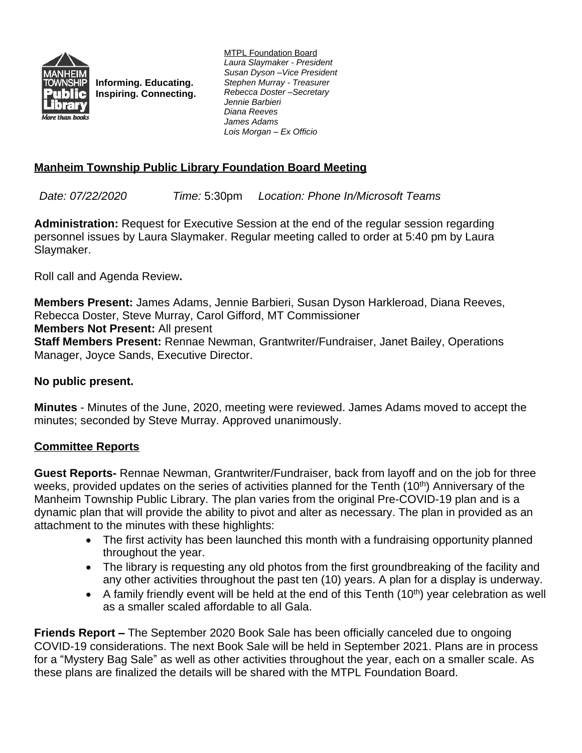

**Informing. Educating. Inspiring. Connecting.**

MTPL Foundation Board *Laura Slaymaker - President Susan Dyson –Vice President Stephen Murray - Treasurer Rebecca Doster –Secretary Jennie Barbieri Diana Reeves James Adams Lois Morgan – Ex Officio*

# **Manheim Township Public Library Foundation Board Meeting**

*Date: 07/22/2020 Time:* 5:30pm *Location: Phone In/Microsoft Teams*

**Administration:** Request for Executive Session at the end of the regular session regarding personnel issues by Laura Slaymaker. Regular meeting called to order at 5:40 pm by Laura Slaymaker.

Roll call and Agenda Review**.**

**Members Present:** James Adams, Jennie Barbieri, Susan Dyson Harkleroad, Diana Reeves, Rebecca Doster, Steve Murray, Carol Gifford, MT Commissioner **Members Not Present:** All present **Staff Members Present:** Rennae Newman, Grantwriter/Fundraiser, Janet Bailey, Operations Manager, Joyce Sands, Executive Director.

### **No public present.**

**Minutes** - Minutes of the June, 2020, meeting were reviewed. James Adams moved to accept the minutes; seconded by Steve Murray. Approved unanimously.

## **Committee Reports**

**Guest Reports-** Rennae Newman, Grantwriter/Fundraiser, back from layoff and on the job for three weeks, provided updates on the series of activities planned for the Tenth (10<sup>th</sup>) Anniversary of the Manheim Township Public Library. The plan varies from the original Pre-COVID-19 plan and is a dynamic plan that will provide the ability to pivot and alter as necessary. The plan in provided as an attachment to the minutes with these highlights:

- The first activity has been launched this month with a fundraising opportunity planned throughout the year.
- The library is requesting any old photos from the first groundbreaking of the facility and any other activities throughout the past ten (10) years. A plan for a display is underway.
- A family friendly event will be held at the end of this Tenth  $(10<sup>th</sup>)$  year celebration as well as a smaller scaled affordable to all Gala.

**Friends Report –** The September 2020 Book Sale has been officially canceled due to ongoing COVID-19 considerations. The next Book Sale will be held in September 2021. Plans are in process for a "Mystery Bag Sale" as well as other activities throughout the year, each on a smaller scale. As these plans are finalized the details will be shared with the MTPL Foundation Board.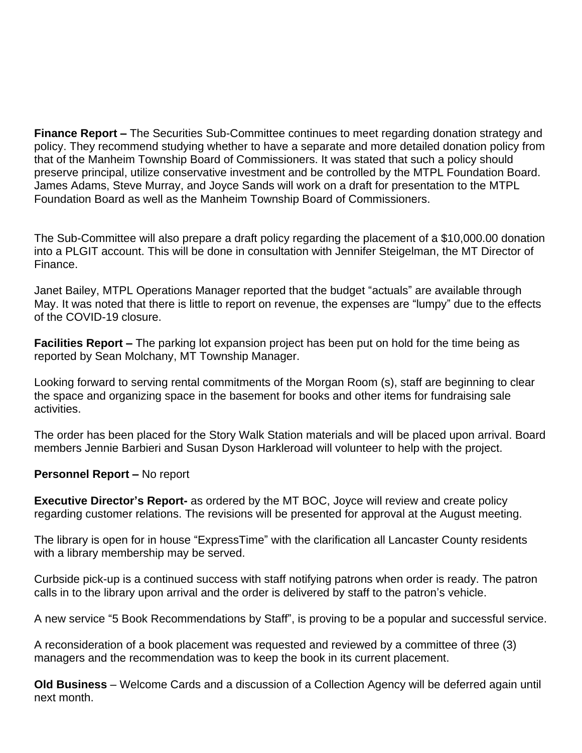**Finance Report –** The Securities Sub-Committee continues to meet regarding donation strategy and policy. They recommend studying whether to have a separate and more detailed donation policy from that of the Manheim Township Board of Commissioners. It was stated that such a policy should preserve principal, utilize conservative investment and be controlled by the MTPL Foundation Board. James Adams, Steve Murray, and Joyce Sands will work on a draft for presentation to the MTPL Foundation Board as well as the Manheim Township Board of Commissioners.

The Sub-Committee will also prepare a draft policy regarding the placement of a \$10,000.00 donation into a PLGIT account. This will be done in consultation with Jennifer Steigelman, the MT Director of Finance.

Janet Bailey, MTPL Operations Manager reported that the budget "actuals" are available through May. It was noted that there is little to report on revenue, the expenses are "lumpy" due to the effects of the COVID-19 closure.

**Facilities Report –** The parking lot expansion project has been put on hold for the time being as reported by Sean Molchany, MT Township Manager.

Looking forward to serving rental commitments of the Morgan Room (s), staff are beginning to clear the space and organizing space in the basement for books and other items for fundraising sale activities.

The order has been placed for the Story Walk Station materials and will be placed upon arrival. Board members Jennie Barbieri and Susan Dyson Harkleroad will volunteer to help with the project.

#### **Personnel Report – No report**

**Executive Director's Report-** as ordered by the MT BOC, Joyce will review and create policy regarding customer relations. The revisions will be presented for approval at the August meeting.

The library is open for in house "ExpressTime" with the clarification all Lancaster County residents with a library membership may be served.

Curbside pick-up is a continued success with staff notifying patrons when order is ready. The patron calls in to the library upon arrival and the order is delivered by staff to the patron's vehicle.

A new service "5 Book Recommendations by Staff", is proving to be a popular and successful service.

A reconsideration of a book placement was requested and reviewed by a committee of three (3) managers and the recommendation was to keep the book in its current placement.

**Old Business** – Welcome Cards and a discussion of a Collection Agency will be deferred again until next month.